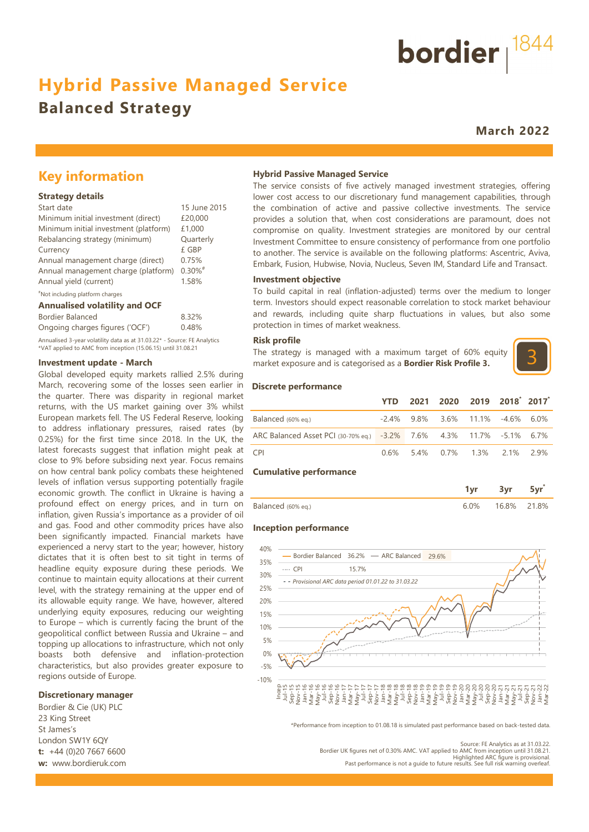# **Hybrid Passive Managed Service**

## **Balanced Strategy**

**March 2022**

bordier  $1844$ 

### **Key information**

#### **Strategy details**

| Start date                            | 15 June 2015          |
|---------------------------------------|-----------------------|
| Minimum initial investment (direct)   | £20,000               |
| Minimum initial investment (platform) | £1,000                |
| Rebalancing strategy (minimum)        | Quarterly             |
| Currency                              | £ GBP                 |
| Annual management charge (direct)     | 0.75%                 |
| Annual management charge (platform)   | $0.30\%$ <sup>#</sup> |
| Annual yield (current)                | 1.58%                 |
| "Not including platform charges       |                       |

#### **Annualised volatility and OCF**

| Bordier Balanced                                                         | 8.32% |
|--------------------------------------------------------------------------|-------|
| Ongoing charges figures ('OCF')                                          | 0.48% |
| Annualised 3-year volatility data as at 31.03.22* - Source: FE Analytics |       |

\*VAT applied to AMC from inception (15.06.15) until 31.08.21

#### **Investment update - March**

Global developed equity markets rallied 2.5% during March, recovering some of the losses seen earlier in the quarter. There was disparity in regional market returns, with the US market gaining over 3% whilst European markets fell. The US Federal Reserve, looking to address inflationary pressures, raised rates (by 0.25%) for the first time since 2018. In the UK, the latest forecasts suggest that inflation might peak at close to 9% before subsiding next year. Focus remains on how central bank policy combats these heightened levels of inflation versus supporting potentially fragile economic growth. The conflict in Ukraine is having a profound effect on energy prices, and in turn on inflation, given Russia's importance as a provider of oil and gas. Food and other commodity prices have also been significantly impacted. Financial markets have experienced a nervy start to the year; however, history dictates that it is often best to sit tight in terms of headline equity exposure during these periods. We continue to maintain equity allocations at their current level, with the strategy remaining at the upper end of its allowable equity range. We have, however, altered underlying equity exposures, reducing our weighting to Europe – which is currently facing the brunt of the geopolitical conflict between Russia and Ukraine – and topping up allocations to infrastructure, which not only boasts both defensive and inflation-protection characteristics, but also provides greater exposure to regions outside of Europe.

#### **Discretionary manager**

Bordier & Cie (UK) PLC 23 King Street St James's London SW1Y 6QY **t:** +44 (0)20 7667 6600 **w:** www.bordieruk.com

#### **Hybrid Passive Managed Service**

The service consists of five actively managed investment strategies, offering lower cost access to our discretionary fund management capabilities, through the combination of active and passive collective investments. The service provides a solution that, when cost considerations are paramount, does not compromise on quality. Investment strategies are monitored by our central Investment Committee to ensure consistency of performance from one portfolio to another. The service is available on the following platforms: Ascentric, Aviva, Embark, Fusion, Hubwise, Novia, Nucleus, Seven IM, Standard Life and Transact.

#### **Investment objective**

To build capital in real (inflation-adjusted) terms over the medium to longer term. Investors should expect reasonable correlation to stock market behaviour and rewards, including quite sharp fluctuations in values, but also some protection in times of market weakness.

#### **Risk profile**

The strategy is managed with a maximum target of 60% equity market exposure and is categorised as a **Bordier Risk Profile 3.**



#### **Discrete performance**

|                                                                      | YTD  |  | 2021 2020 2019 2018 2017               |  |
|----------------------------------------------------------------------|------|--|----------------------------------------|--|
| Balanced (60% eg.)                                                   |      |  | $-2.4\%$ 9.8% 3.6% 11.1% $-4.6\%$ 6.0% |  |
| ARC Balanced Asset PCI (30-70% eq.) -3.2% 7.6% 4.3% 11.7% -5.1% 6.7% |      |  |                                        |  |
| CPI <sup>-</sup>                                                     | 0.6% |  | 5.4% 0.7% 1.3% 2.1% 2.9%               |  |

#### **Cumulative performance**

|                    |         | 3 <sub>vr</sub> | 5yr |
|--------------------|---------|-----------------|-----|
| Balanced (60% eq.) | $6.0\%$ | 16.8% 21.8%     |     |

#### **Inception performance**



\*Performance from inception to 01.08.18 is simulated past performance based on back-tested data.

Source: FE Analytics as at 31.03.22. Bordier UK figures net of 0.30% AMC. VAT applied to AMC from inception until 31.08.21. Highlighted ARC figure is provisional.

Past performance is not a guide to future results. See full risk warning overleaf